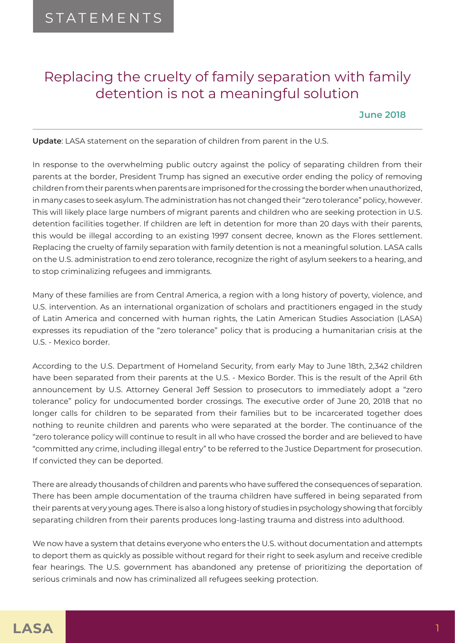## Replacing the cruelty of family separation with family detention is not a meaningful solution

**June 2018**

**Update**: LASA statement on the separation of children from parent in the U.S.

In response to the overwhelming public outcry against the policy of separating children from their parents at the border, President Trump has signed an executive order ending the policy of removing children from their parents when parents are imprisoned for the crossing the border when unauthorized, in many cases to seek asylum. The administration has not changed their "zero tolerance" policy, however. This will likely place large numbers of migrant parents and children who are seeking protection in U.S. detention facilities together. If children are left in detention for more than 20 days with their parents, this would be illegal according to an existing 1997 consent decree, known as the Flores settlement. Replacing the cruelty of family separation with family detention is not a meaningful solution. LASA calls on the U.S. administration to end zero tolerance, recognize the right of asylum seekers to a hearing, and to stop criminalizing refugees and immigrants.

Many of these families are from Central America, a region with a long history of poverty, violence, and U.S. intervention. As an international organization of scholars and practitioners engaged in the study of Latin America and concerned with human rights, the Latin American Studies Association (LASA) expresses its repudiation of the "zero tolerance" policy that is producing a humanitarian crisis at the U.S. - Mexico border.

According to the U.S. Department of Homeland Security, from early May to June 18th, 2,342 children have been separated from their parents at the U.S. - Mexico Border. This is the result of the April 6th announcement by U.S. Attorney General Jeff Session to prosecutors to immediately adopt a "zero tolerance" policy for undocumented border crossings. The executive order of June 20, 2018 that no longer calls for children to be separated from their families but to be incarcerated together does nothing to reunite children and parents who were separated at the border. The continuance of the "zero tolerance policy will continue to result in all who have crossed the border and are believed to have "committed any crime, including illegal entry" to be referred to the Justice Department for prosecution. If convicted they can be deported.

There are already thousands of children and parents who have suffered the consequences of separation. There has been ample documentation of the trauma children have suffered in being separated from their parents at very young ages. There is also a long history of studies in psychology showing that forcibly separating children from their parents produces long-lasting trauma and distress into adulthood.

We now have a system that detains everyone who enters the U.S. without documentation and attempts to deport them as quickly as possible without regard for their right to seek asylum and receive credible fear hearings. The U.S. government has abandoned any pretense of prioritizing the deportation of serious criminals and now has criminalized all refugees seeking protection.